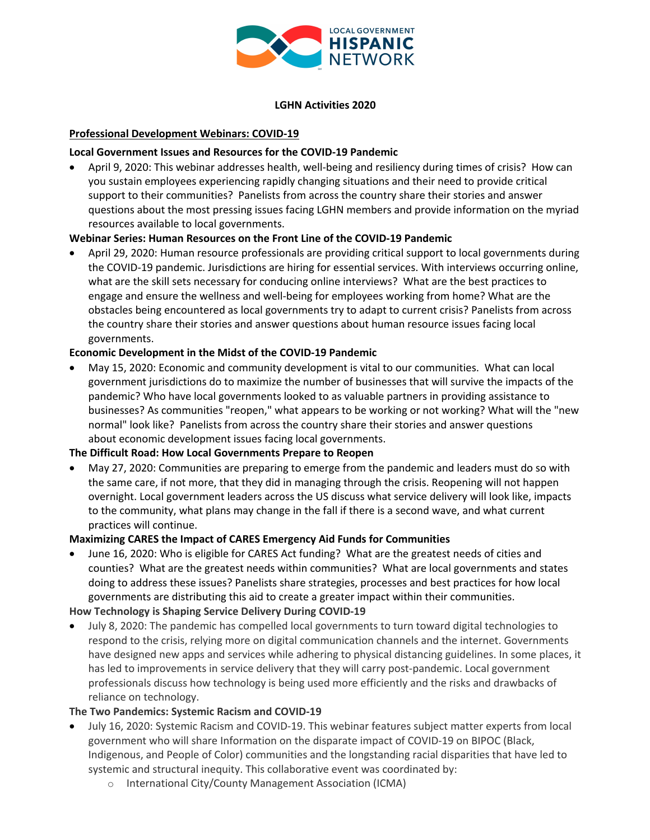

#### **LGHN Activities 2020**

## **Professional Development Webinars: COVID-19**

### **Local Government Issues and Resources for the COVID-19 Pandemic**

• April 9, 2020: This webinar addresses health, well-being and resiliency during times of crisis? How can you sustain employees experiencing rapidly changing situations and their need to provide critical support to their communities? Panelists from across the country share their stories and answer questions about the most pressing issues facing LGHN members and provide information on the myriad resources available to local governments.

### **Webinar Series: Human Resources on the Front Line of the COVID-19 Pandemic**

• April 29, 2020: Human resource professionals are providing critical support to local governments during the COVID-19 pandemic. Jurisdictions are hiring for essential services. With interviews occurring online, what are the skill sets necessary for conducing online interviews? What are the best practices to engage and ensure the wellness and well-being for employees working from home? What are the obstacles being encountered as local governments try to adapt to current crisis? Panelists from across the country share their stories and answer questions about human resource issues facing local governments.

## **Economic Development in the Midst of the COVID-19 Pandemic**

• May 15, 2020: Economic and community development is vital to our communities. What can local government jurisdictions do to maximize the number of businesses that will survive the impacts of the pandemic? Who have local governments looked to as valuable partners in providing assistance to businesses? As communities "reopen," what appears to be working or not working? What will the "new normal" look like? Panelists from across the country share their stories and answer questions about economic development issues facing local governments.

#### **The Difficult Road: How Local Governments Prepare to Reopen**

• May 27, 2020: Communities are preparing to emerge from the pandemic and leaders must do so with the same care, if not more, that they did in managing through the crisis. Reopening will not happen overnight. Local government leaders across the US discuss what service delivery will look like, impacts to the community, what plans may change in the fall if there is a second wave, and what current practices will continue.

#### **Maximizing CARES the Impact of CARES Emergency Aid Funds for Communities**

- June 16, 2020: Who is eligible for CARES Act funding? What are the greatest needs of cities and counties? What are the greatest needs within communities? What are local governments and states doing to address these issues? Panelists share strategies, processes and best practices for how local governments are distributing this aid to create a greater impact within their communities. **How Technology is Shaping Service Delivery During COVID-19**
- July 8, 2020: The pandemic has compelled local governments to turn toward digital technologies to respond to the crisis, relying more on digital communication channels and the internet. Governments have designed new apps and services while adhering to physical distancing guidelines. In some places, it has led to improvements in service delivery that they will carry post-pandemic. Local government professionals discuss how technology is being used more efficiently and the risks and drawbacks of reliance on technology.

#### **The Two Pandemics: Systemic Racism and COVID-19**

- July 16, 2020: Systemic Racism and COVID-19. This webinar features subject matter experts from local government who will share Information on the disparate impact of COVID-19 on BIPOC (Black, Indigenous, and People of Color) communities and the longstanding racial disparities that have led to systemic and structural inequity. This collaborative event was coordinated by:
	- o International City/County Management Association (ICMA)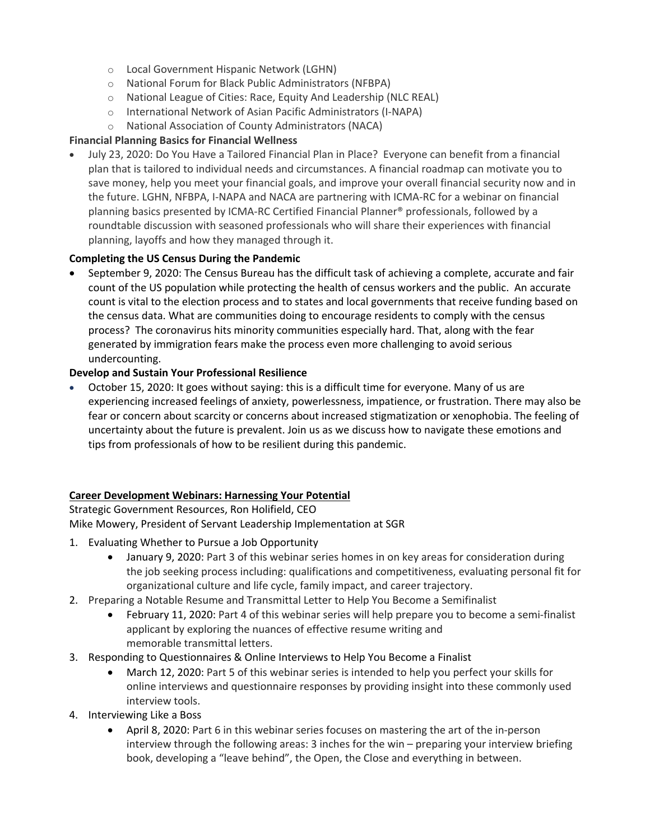- o Local Government Hispanic Network (LGHN)
- o National Forum for Black Public Administrators (NFBPA)
- o National League of Cities: Race, Equity And Leadership (NLC REAL)
- o International Network of Asian Pacific Administrators (I-NAPA)
- o National Association of County Administrators (NACA)

## **Financial Planning Basics for Financial Wellness**

• July 23, 2020: Do You Have a Tailored Financial Plan in Place? Everyone can benefit from a financial plan that is tailored to individual needs and circumstances. A financial roadmap can motivate you to save money, help you meet your financial goals, and improve your overall financial security now and in the future. LGHN, NFBPA, I-NAPA and NACA are partnering with ICMA-RC for a webinar on financial planning basics presented by ICMA-RC Certified Financial Planner® professionals, followed by a roundtable discussion with seasoned professionals who will share their experiences with financial planning, layoffs and how they managed through it.

# **Completing the US Census During the Pandemic**

• September 9, 2020: The Census Bureau has the difficult task of achieving a complete, accurate and fair count of the US population while protecting the health of census workers and the public. An accurate count is vital to the election process and to states and local governments that receive funding based on the census data. What are communities doing to encourage residents to comply with the census process? The coronavirus hits minority communities especially hard. That, along with the fear generated by immigration fears make the process even more challenging to avoid serious undercounting.

## **Develop and Sustain Your Professional Resilience**

• October 15, 2020: It goes without saying: this is a difficult time for everyone. Many of us are experiencing increased feelings of anxiety, powerlessness, impatience, or frustration. There may also be fear or concern about scarcity or concerns about increased stigmatization or xenophobia. The feeling of uncertainty about the future is prevalent. Join us as we discuss how to navigate these emotions and tips from professionals of how to be resilient during this pandemic.

## **Career Development Webinars: Harnessing Your Potential**

Strategic Government Resources, Ron Holifield, CEO Mike Mowery, President of Servant Leadership Implementation at SGR

- 1. Evaluating Whether to Pursue a Job Opportunity
	- January 9, 2020: Part 3 of this webinar series homes in on key areas for consideration during the job seeking process including: qualifications and competitiveness, evaluating personal fit for organizational culture and life cycle, family impact, and career trajectory.
- 2. Preparing a Notable Resume and Transmittal Letter to Help You Become a Semifinalist
	- February 11, 2020: Part 4 of this webinar series will help prepare you to become a semi-finalist applicant by exploring the nuances of effective resume writing and memorable transmittal letters.
- 3. Responding to Questionnaires & Online Interviews to Help You Become a Finalist
	- March 12, 2020: Part 5 of this webinar series is intended to help you perfect your skills for online interviews and questionnaire responses by providing insight into these commonly used interview tools.
- 4. Interviewing Like a Boss
	- April 8, 2020: Part 6 in this webinar series focuses on mastering the art of the in-person interview through the following areas: 3 inches for the win – preparing your interview briefing book, developing a "leave behind", the Open, the Close and everything in between.